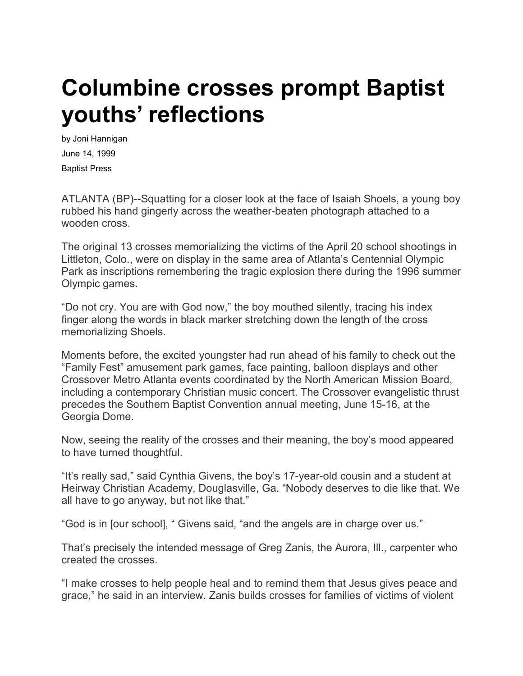## **Columbine crosses prompt Baptist youths' reflections**

by Joni Hannigan June 14, 1999 Baptist Press

ATLANTA (BP)--Squatting for a closer look at the face of Isaiah Shoels, a young boy rubbed his hand gingerly across the weather-beaten photograph attached to a wooden cross.

The original 13 crosses memorializing the victims of the April 20 school shootings in Littleton, Colo., were on display in the same area of Atlanta's Centennial Olympic Park as inscriptions remembering the tragic explosion there during the 1996 summer Olympic games.

"Do not cry. You are with God now," the boy mouthed silently, tracing his index finger along the words in black marker stretching down the length of the cross memorializing Shoels.

Moments before, the excited youngster had run ahead of his family to check out the "Family Fest" amusement park games, face painting, balloon displays and other Crossover Metro Atlanta events coordinated by the North American Mission Board, including a contemporary Christian music concert. The Crossover evangelistic thrust precedes the Southern Baptist Convention annual meeting, June 15-16, at the Georgia Dome.

Now, seeing the reality of the crosses and their meaning, the boy's mood appeared to have turned thoughtful.

"It's really sad," said Cynthia Givens, the boy's 17-year-old cousin and a student at Heirway Christian Academy, Douglasville, Ga. "Nobody deserves to die like that. We all have to go anyway, but not like that."

"God is in [our school], " Givens said, "and the angels are in charge over us."

That's precisely the intended message of Greg Zanis, the Aurora, Ill., carpenter who created the crosses.

"I make crosses to help people heal and to remind them that Jesus gives peace and grace," he said in an interview. Zanis builds crosses for families of victims of violent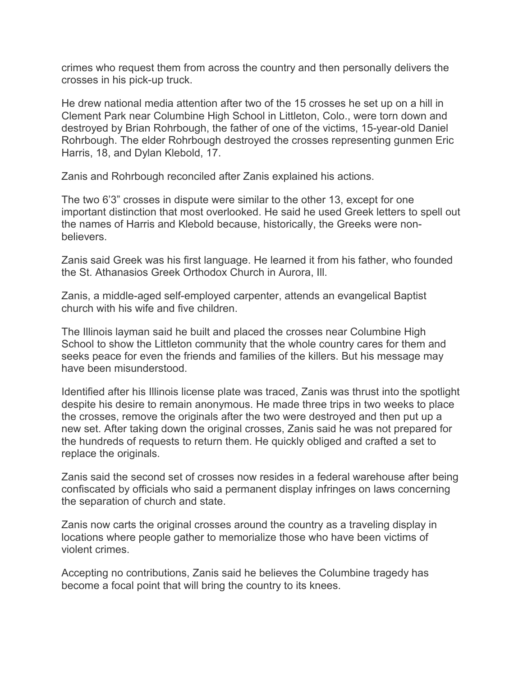crimes who request them from across the country and then personally delivers the crosses in his pick-up truck.

He drew national media attention after two of the 15 crosses he set up on a hill in Clement Park near Columbine High School in Littleton, Colo., were torn down and destroyed by Brian Rohrbough, the father of one of the victims, 15-year-old Daniel Rohrbough. The elder Rohrbough destroyed the crosses representing gunmen Eric Harris, 18, and Dylan Klebold, 17.

Zanis and Rohrbough reconciled after Zanis explained his actions.

The two 6'3" crosses in dispute were similar to the other 13, except for one important distinction that most overlooked. He said he used Greek letters to spell out the names of Harris and Klebold because, historically, the Greeks were nonbelievers.

Zanis said Greek was his first language. He learned it from his father, who founded the St. Athanasios Greek Orthodox Church in Aurora, Ill.

Zanis, a middle-aged self-employed carpenter, attends an evangelical Baptist church with his wife and five children.

The Illinois layman said he built and placed the crosses near Columbine High School to show the Littleton community that the whole country cares for them and seeks peace for even the friends and families of the killers. But his message may have been misunderstood.

Identified after his Illinois license plate was traced, Zanis was thrust into the spotlight despite his desire to remain anonymous. He made three trips in two weeks to place the crosses, remove the originals after the two were destroyed and then put up a new set. After taking down the original crosses, Zanis said he was not prepared for the hundreds of requests to return them. He quickly obliged and crafted a set to replace the originals.

Zanis said the second set of crosses now resides in a federal warehouse after being confiscated by officials who said a permanent display infringes on laws concerning the separation of church and state.

Zanis now carts the original crosses around the country as a traveling display in locations where people gather to memorialize those who have been victims of violent crimes.

Accepting no contributions, Zanis said he believes the Columbine tragedy has become a focal point that will bring the country to its knees.